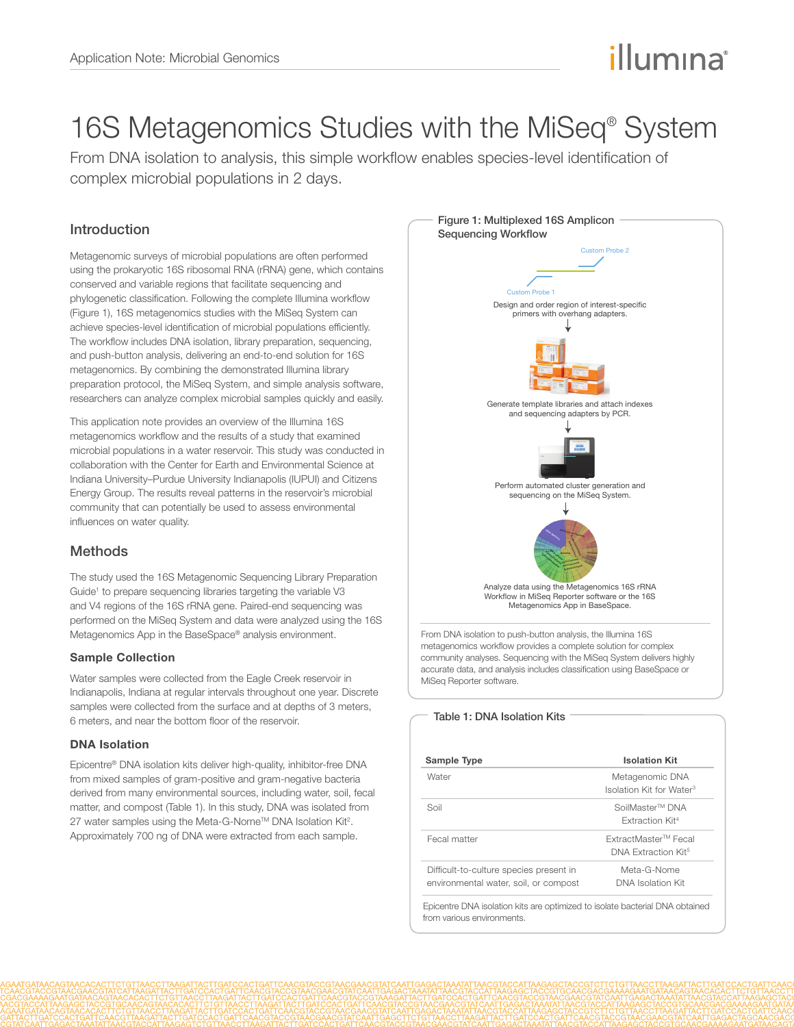# illumına

## 16S Metagenomics Studies with the MiSeq<sup>®</sup> System

From DNA isolation to analysis, this simple workflow enables species-level identification of complex microbial populations in 2 days.

## Introduction

Metagenomic surveys of microbial populations are often performed using the prokaryotic 16S ribosomal RNA (rRNA) gene, which contains conserved and variable regions that facilitate sequencing and phylogenetic classification. Following the complete Illumina workflow (Figure 1), 16S metagenomics studies with the MiSeq System can achieve species-level identification of microbial populations efficiently. The workflow includes DNA isolation, library preparation, sequencing, and push-button analysis, delivering an end-to-end solution for 16S metagenomics. By combining the demonstrated Illumina library preparation protocol, the [MiSeq System](http://www.illumina.com/systems/miseq.ilmn), and simple analysis software, researchers can analyze complex microbial samples quickly and easily.

This application note provides an overview of the Illumina 16S metagenomics workflow and the results of a study that examined microbial populations in a water reservoir. This study was conducted in collaboration with the [Center for Earth and Environmental Science](http://www.cees.iupui.edu/) at Indiana University–Purdue University Indianapolis (IUPUI) and [Citizens](http://www.citizensenergygroup.com/)  [Energy Group.](http://www.citizensenergygroup.com/) The results reveal patterns in the reservoir's microbial community that can potentially be used to assess environmental influences on water quality.

## **Methods**

The study used the 16S Metagenomic Sequencing Library Preparation Guide<sup>1</sup> to prepare sequencing libraries targeting the variable V3 and V4 regions of the 16S rRNA gene. Paired-end sequencing was performed on the MiSeq System and data were analyzed using the 16S Metagenomics App in the BaseSpace® analysis environment.

#### Sample Collection

Water samples were collected from the Eagle Creek reservoir in Indianapolis, Indiana at regular intervals throughout one year. Discrete samples were collected from the surface and at depths of 3 meters, 6 meters, and near the bottom floor of the reservoir.

### DNA Isolation

Epicentre® DNA isolation kits deliver high-quality, inhibitor-free DNA from mixed samples of gram-positive and gram-negative bacteria derived from many environmental sources, including water, soil, fecal matter, and compost (Table 1). In this study, DNA was isolated from 27 water samples using the Meta-G-Nome™ DNA Isolation Kit<sup>2</sup>. Approximately 700 ng of DNA were extracted from each sample.



community analyses. Sequencing with the MiSeq System delivers highly accurate data, and analysis includes classification using BaseSpace or MiSeq Reporter software.

#### Table 1: DNA Isolation Kits

| Sample Type                             | <b>Isolation Kit</b>                 |  |  |
|-----------------------------------------|--------------------------------------|--|--|
| Water                                   | Metagenomic DNA                      |  |  |
|                                         | Isolation Kit for Water <sup>3</sup> |  |  |
| Soil                                    | SoilMaster™ DNA                      |  |  |
|                                         | <b>Extraction Kit4</b>               |  |  |
| Fecal matter                            | ExtractMaster™ Fecal                 |  |  |
|                                         | DNA Extraction Kit <sup>5</sup>      |  |  |
| Difficult-to-culture species present in | Meta-G-Nome                          |  |  |
| environmental water, soil, or compost   | DNA Isolation Kit                    |  |  |

Epicentre DNA isolation kits are optimized to isolate bacterial DNA obtained from various environments.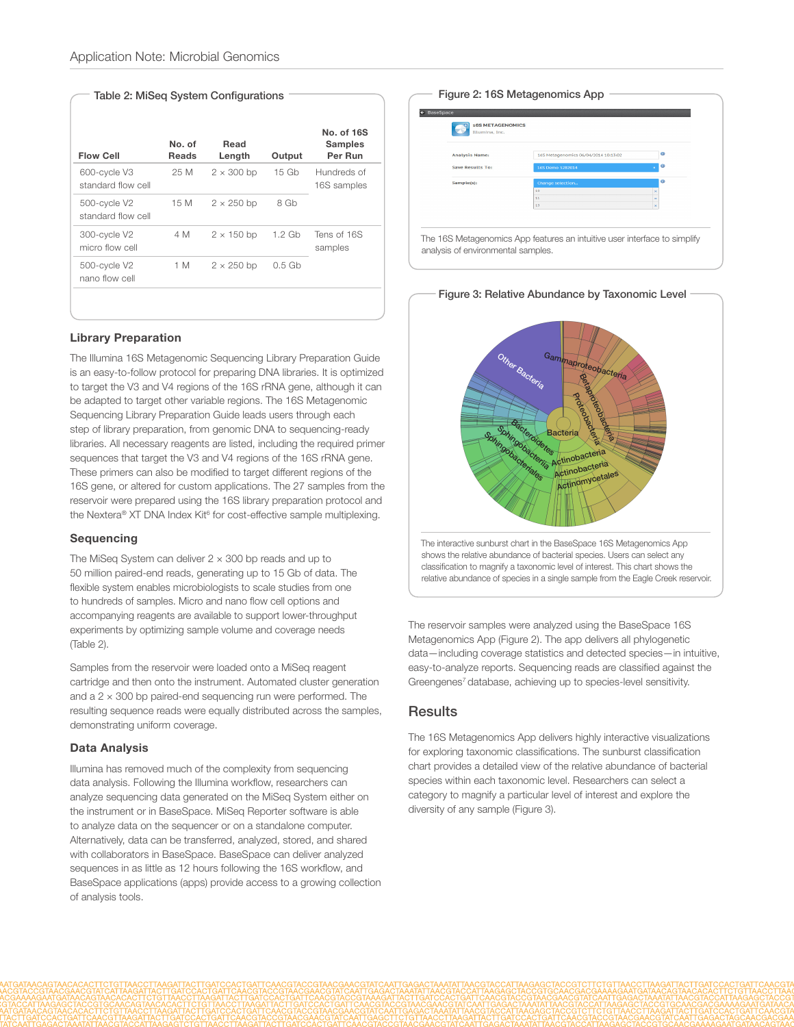#### Table 2: MiSeq System Configurations

| <b>Flow Cell</b>                   | No. of<br><b>Reads</b> | Read<br>Length    | Output            | No. of 16S<br><b>Samples</b><br>Per Run |
|------------------------------------|------------------------|-------------------|-------------------|-----------------------------------------|
| 600-cycle V3<br>standard flow cell | 25 M                   | $2 \times 300$ bp | 15 <sub>6b</sub>  | Hundreds of<br>16S samples              |
| 500-cycle V2<br>standard flow cell | 15 M                   | $2 \times 250$ bp | 8 Gb              |                                         |
| 300-cycle V2<br>micro flow cell    | 4 M                    | $2 \times 150$ bp | $1.2$ Gb          | Tens of 16S<br>samples                  |
| 500-cycle V2<br>nano flow cell     | 1 M                    | $2 \times 250$ bp | 0.5 <sub>6b</sub> |                                         |
|                                    |                        |                   |                   |                                         |

#### Library Preparation

The Illumina [16S Metagenomic Sequencing Library Preparation Guide](http://support.illumina.com/downloads/16s_metagenomic_sequencing_library_preparation.ilmn) is an easy-to-follow protocol for preparing DNA libraries. It is optimized to target the V3 and V4 regions of the 16S rRNA gene, although it can be adapted to target other variable regions. The 16S Metagenomic Sequencing Library Preparation Guide leads users through each step of library preparation, from genomic DNA to sequencing-ready libraries. All necessary reagents are listed, including the required primer sequences that target the V3 and V4 regions of the 16S rRNA gene. These primers can also be modified to target different regions of the 16S gene, or altered for custom applications. The 27 samples from the reservoir were prepared using the 16S library preparation protocol and the Nextera® XT DNA Index Kit<sup>6</sup> for cost-effective sample multiplexing.

#### Sequencing

The MiSeq System can deliver  $2 \times 300$  bp reads and up to 50 million paired-end reads, generating up to 15 Gb of data. The flexible system enables microbiologists to scale studies from one to hundreds of samples. Micro and nano flow cell options and accompanying reagents are available to support lower-throughput experiments by optimizing sample volume and coverage needs (Table 2).

Samples from the reservoir were loaded onto a MiSeq reagent cartridge and then onto the instrument. Automated cluster generation and a  $2 \times 300$  bp paired-end sequencing run were performed. The resulting sequence reads were equally distributed across the samples, demonstrating uniform coverage.

#### Data Analysis

Illumina has removed much of the complexity from sequencing data analysis. Following the Illumina workflow, researchers can analyze sequencing data generated on the MiSeq System either on the instrument or in BaseSpace. MiSeq Reporter software is able to analyze data on the sequencer or on a standalone computer. Alternatively, data can be transferred, analyzed, stored, and shared with collaborators in BaseSpace. BaseSpace can deliver analyzed sequences in as little as 12 hours following the 16S workflow, and BaseSpace applications (apps) provide access to a growing collection of analysis tools.

#### Figure 2: 16S Metagenomics App

| Illumina, Inc.        |                                      |   |   |
|-----------------------|--------------------------------------|---|---|
| <b>Analysis Name:</b> | 165 Metagenomics 06/04/2014 10:13:02 |   | ۰ |
| Save Results To:      | 16S Demo 5282014                     |   | ۰ |
| Sample(s):            | <b>Change selection</b>              |   | G |
|                       | 10 <sup>1</sup>                      |   |   |
|                       | 11<br>13                             | × |   |
|                       |                                      |   |   |
|                       |                                      |   |   |



The reservoir samples were analyzed using the BaseSpace 16S Metagenomics App (Figure 2). The app delivers all phylogenetic data—including coverage statistics and detected species—in intuitive, easy-to-analyze reports. Sequencing reads are classified against the Greengenes<sup>7</sup> database, achieving up to species-level sensitivity.

#### **Results**

The 16S Metagenomics App delivers highly interactive visualizations for exploring taxonomic classifications. The sunburst classification chart provides a detailed view of the relative abundance of bacterial species within each taxonomic level. Researchers can select a category to magnify a particular level of interest and explore the diversity of any sample (Figure 3).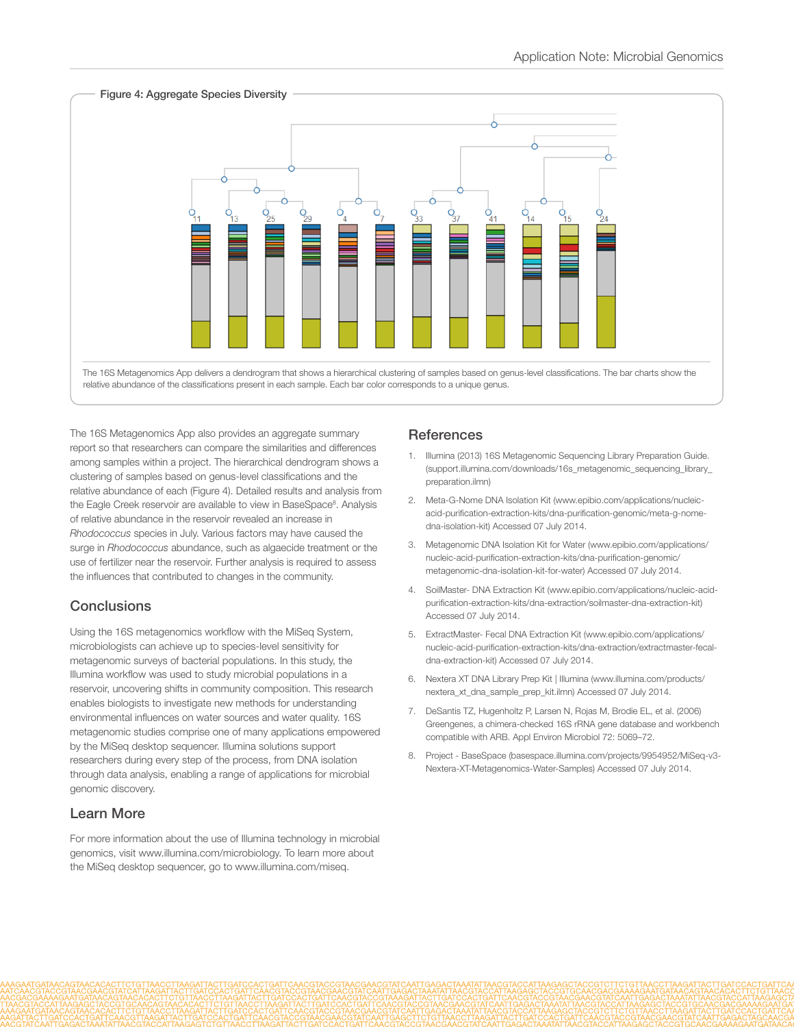

The 16S Metagenomics App also provides an aggregate summary report so that researchers can compare the similarities and differences among samples within a project. The hierarchical dendrogram shows a clustering of samples based on genus-level classifications and the relative abundance of each (Figure 4). Detailed results and analysis from the Eagle Creek reservoir are available to view in BaseSpace<sup>8</sup>. Analysis of relative abundance in the reservoir revealed an increase in *Rhodococcus* species in July. Various factors may have caused the surge in *Rhodococcus* abundance, such as algaecide treatment or the use of fertilizer near the reservoir. Further analysis is required to assess the influences that contributed to changes in the community.

## **Conclusions**

Using the 16S metagenomics workflow with the MiSeq System, microbiologists can achieve up to species-level sensitivity for metagenomic surveys of bacterial populations. In this study, the Illumina workflow was used to study microbial populations in a reservoir, uncovering shifts in community composition. This research enables biologists to investigate new methods for understanding environmental influences on water sources and water quality. 16S metagenomic studies comprise one of many applications empowered by the MiSeq desktop sequencer. Illumina solutions support researchers during every step of the process, from DNA isolation through data analysis, enabling a range of applications for microbial genomic discovery.

## Learn More

For more information about the use of Illumina technology in microbial genomics, visit www.illumina.com/microbiology. To learn more about the MiSeq desktop sequencer, go to www.illumina.com/miseq.

## **References**

- 1. Illumina (2013) 16S Metagenomic Sequencing Library Preparation Guide. [\(support.illumina.com/downloads/16s\\_metagenomic\\_sequencing\\_library\\_](http://support.illumina.com/downloads/16s_metagenomic_sequencing_library_preparation.ilmn) [preparation.ilmn\)](http://support.illumina.com/downloads/16s_metagenomic_sequencing_library_preparation.ilmn)
- 2. Meta-G-Nome DNA Isolation Kit (www.epibio.com/applications/nucleicacid-purification-extraction-kits/dna-purification-genomic/meta-g-nomedna-isolation-kit) Accessed 07 July 2014.
- 3. Metagenomic DNA Isolation Kit for Water (www.epibio.com/applications/ nucleic-acid-purification-extraction-kits/dna-purification-genomic/ metagenomic-dna-isolation-kit-for-water) Accessed 07 July 2014.
- 4. SoilMaster- DNA Extraction Kit (www.epibio.com/applications/nucleic-acidpurification-extraction-kits/dna-extraction/soilmaster-dna-extraction-kit) Accessed 07 July 2014.
- 5. ExtractMaster- Fecal DNA Extraction Kit (www.epibio.com/applications/ nucleic-acid-purification-extraction-kits/dna-extraction/extractmaster-fecaldna-extraction-kit) Accessed 07 July 2014.
- 6. Nextera XT DNA Library Prep Kit | Illumina (www.illumina.com/products/ nextera\_xt\_dna\_sample\_prep\_kit.ilmn) Accessed 07 July 2014.
- 7. DeSantis TZ, Hugenholtz P, Larsen N, Rojas M, Brodie EL, et al. (2006) [Greengenes, a chimera-checked 16S rRNA gene database and workbench](http://www.ncbi.nlm.nih.gov/pubmed/16820507)  [compatible with ARB.](http://www.ncbi.nlm.nih.gov/pubmed/16820507) Appl Environ Microbiol 72: 5069–72.
- 8. Project BaseSpace [\(basespace.illumina.com/projects/9954952/MiSeq-v3-](https://basespace.illumina.com/projects/9954952/MiSeq-v3-Nextera-XT-Metagenomics-Water-Samples) [Nextera-XT-Metagenomics-Water-Samples](https://basespace.illumina.com/projects/9954952/MiSeq-v3-Nextera-XT-Metagenomics-Water-Samples)) Accessed 07 July 2014.